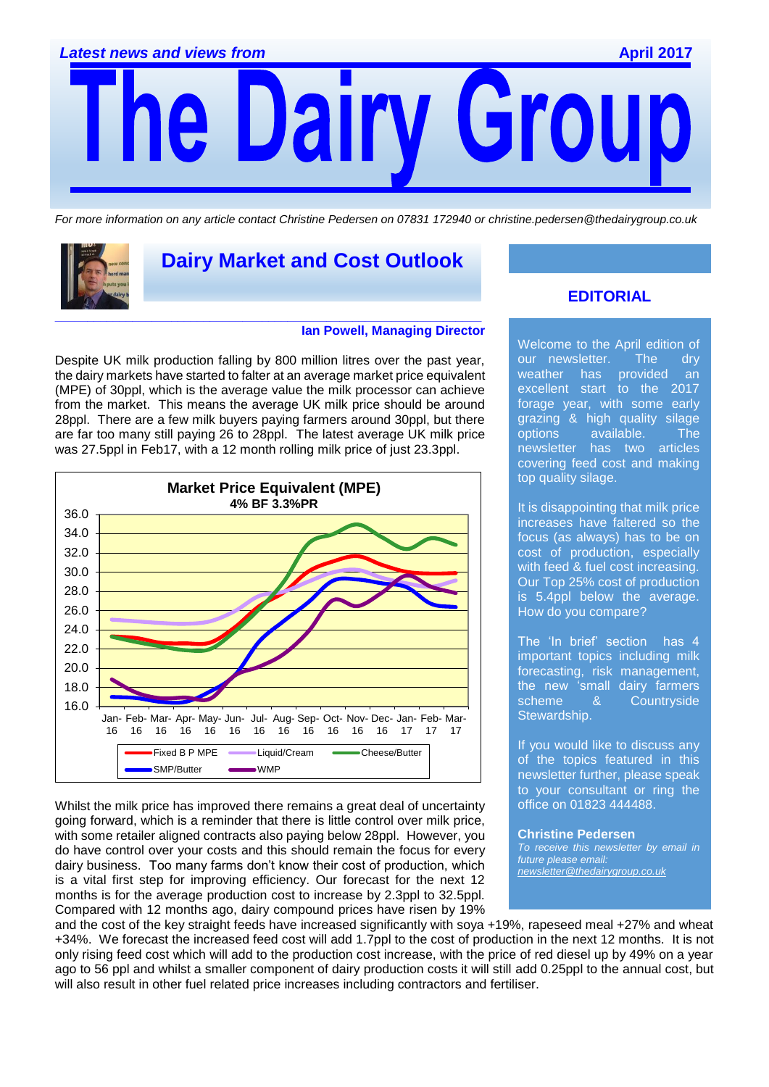r Gro e Dairy

*For more information on any article contact Christine Pedersen on 07831 172940 or christine.pedersen@thedairygroup.co.uk*



# **Dairy Market and Cost Outlook**

#### **Ian Powell, Managing Director**

Despite UK milk production falling by 800 million litres over the past year, the dairy markets have started to falter at an average market price equivalent (MPE) of 30ppl, which is the average value the milk processor can achieve from the market. This means the average UK milk price should be around 28ppl. There are a few milk buyers paying farmers around 30ppl, but there are far too many still paying 26 to 28ppl. The latest average UK milk price was 27.5ppl in Feb17, with a 12 month rolling milk price of just 23.3ppl.



Whilst the milk price has improved there remains a great deal of uncertainty going forward, which is a reminder that there is little control over milk price, with some retailer aligned contracts also paying below 28ppl. However, you do have control over your costs and this should remain the focus for every dairy business. Too many farms don't know their cost of production, which is a vital first step for improving efficiency. Our forecast for the next 12 months is for the average production cost to increase by 2.3ppl to 32.5ppl. Compared with 12 months ago, dairy compound prices have risen by 19%

### **EDITORIAL**

Welcome to the April edition of our newsletter. The dry<br>weather has provided an weather has provided an excellent start to the 2017 forage year, with some early grazing & high quality silage options available. The newsletter has two articles covering feed cost and making top quality silage.

It is disappointing that milk price increases have faltered so the focus (as always) has to be on cost of production, especially with feed & fuel cost increasing. Our Top 25% cost of production is 5.4ppl below the average. How do you compare?

The 'In brief' section has 4 important topics including milk forecasting, risk management, the new 'small dairy farmers scheme & Countryside Stewardship.

If you would like to discuss any of the topics featured in this newsletter further, please speak to your consultant or ring the office on 01823 444488.

**Christine Pedersen** *To receive this newsletter by email in future please email: [newsletter@thedairygroup.co.uk](mailto:newsletter@thedairygroup.co.uk)*

and the cost of the key straight feeds have increased significantly with soya +19%, rapeseed meal +27% and wheat +34%. We forecast the increased feed cost will add 1.7ppl to the cost of production in the next 12 months. It is not only rising feed cost which will add to the production cost increase, with the price of red diesel up by 49% on a year ago to 56 ppl and whilst a smaller component of dairy production costs it will still add 0.25ppl to the annual cost, but will also result in other fuel related price increases including contractors and fertiliser.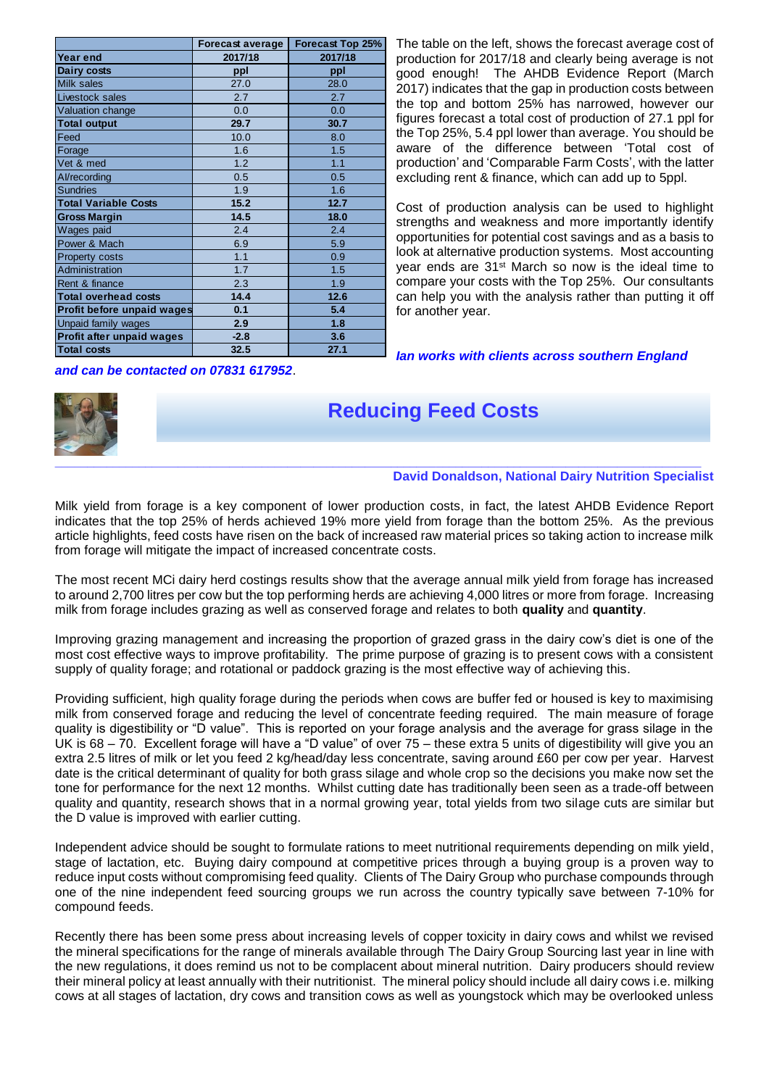|                             | <b>Forecast average</b> | <b>Forecast Top 25%</b> |
|-----------------------------|-------------------------|-------------------------|
| <b>Year end</b>             | 2017/18                 | 2017/18                 |
| <b>Dairy costs</b>          | ppl                     | ppl                     |
| Milk sales                  | 27.0                    | 28.0                    |
| Livestock sales             | 2.7                     | 2.7                     |
| Valuation change            | 0.0                     | 0.0                     |
| <b>Total output</b>         | 29.7                    | 30.7                    |
| Feed                        | 10.0                    | 8.0                     |
| Forage                      | 1.6                     | 1.5                     |
| Vet & med                   | 1.2                     | 1.1                     |
| Al/recording                | 0.5                     | 0.5                     |
| <b>Sundries</b>             | 1.9                     | 1.6                     |
| <b>Total Variable Costs</b> | 15.2                    | 12.7                    |
| <b>Gross Margin</b>         | 14.5                    | 18.0                    |
| Wages paid                  | 2.4                     | 2.4                     |
| Power & Mach                | 6.9                     | 5.9                     |
| Property costs              | 1.1                     | 0.9                     |
| Administration              | 1.7                     | 1.5                     |
| Rent & finance              | 2.3                     | 1.9                     |
| <b>Total overhead costs</b> | 14.4                    | 12.6                    |
| Profit before unpaid wages  | 0.1                     | 5.4                     |
| Unpaid family wages         | 2.9                     | 1.8                     |
| Profit after unpaid wages   | $-2.8$                  | 3.6                     |
| <b>Total costs</b>          | 32.5                    | 27.1                    |

The table on the left, shows the forecast average cost of production for 2017/18 and clearly being average is not good enough! The AHDB Evidence Report (March 2017) indicates that the gap in production costs between the top and bottom 25% has narrowed, however our figures forecast a total cost of production of 27.1 ppl for the Top 25%, 5.4 ppl lower than average. You should be aware of the difference between 'Total cost of production' and 'Comparable Farm Costs', with the latter excluding rent & finance, which can add up to 5ppl.

Cost of production analysis can be used to highlight strengths and weakness and more importantly identify opportunities for potential cost savings and as a basis to look at alternative production systems. Most accounting year ends are 31st March so now is the ideal time to compare your costs with the Top 25%. Our consultants can help you with the analysis rather than putting it off for another year.

*Ian works with clients across southern England* 

### *and can be contacted on 07831 617952*.



### **Reducing Feed Costs**

#### **David Donaldson, National Dairy Nutrition Specialist**

Milk yield from forage is a key component of lower production costs, in fact, the latest AHDB Evidence Report indicates that the top 25% of herds achieved 19% more yield from forage than the bottom 25%. As the previous article highlights, feed costs have risen on the back of increased raw material prices so taking action to increase milk from forage will mitigate the impact of increased concentrate costs.

The most recent MCi dairy herd costings results show that the average annual milk yield from forage has increased to around 2,700 litres per cow but the top performing herds are achieving 4,000 litres or more from forage. Increasing milk from forage includes grazing as well as conserved forage and relates to both **quality** and **quantity**.

Improving grazing management and increasing the proportion of grazed grass in the dairy cow's diet is one of the most cost effective ways to improve profitability. The prime purpose of grazing is to present cows with a consistent supply of quality forage; and rotational or paddock grazing is the most effective way of achieving this.

Providing sufficient, high quality forage during the periods when cows are buffer fed or housed is key to maximising milk from conserved forage and reducing the level of concentrate feeding required. The main measure of forage quality is digestibility or "D value". This is reported on your forage analysis and the average for grass silage in the UK is 68 – 70. Excellent forage will have a "D value" of over 75 – these extra 5 units of digestibility will give you an extra 2.5 litres of milk or let you feed 2 kg/head/day less concentrate, saving around £60 per cow per year. Harvest date is the critical determinant of quality for both grass silage and whole crop so the decisions you make now set the tone for performance for the next 12 months. Whilst cutting date has traditionally been seen as a trade-off between quality and quantity, research shows that in a normal growing year, total yields from two silage cuts are similar but the D value is improved with earlier cutting.

Independent advice should be sought to formulate rations to meet nutritional requirements depending on milk yield, stage of lactation, etc. Buying dairy compound at competitive prices through a buying group is a proven way to reduce input costs without compromising feed quality. Clients of The Dairy Group who purchase compounds through one of the nine independent feed sourcing groups we run across the country typically save between 7-10% for compound feeds.

Recently there has been some press about increasing levels of copper toxicity in dairy cows and whilst we revised the mineral specifications for the range of minerals available through The Dairy Group Sourcing last year in line with the new regulations, it does remind us not to be complacent about mineral nutrition. Dairy producers should review their mineral policy at least annually with their nutritionist. The mineral policy should include all dairy cows i.e. milking cows at all stages of lactation, dry cows and transition cows as well as youngstock which may be overlooked unless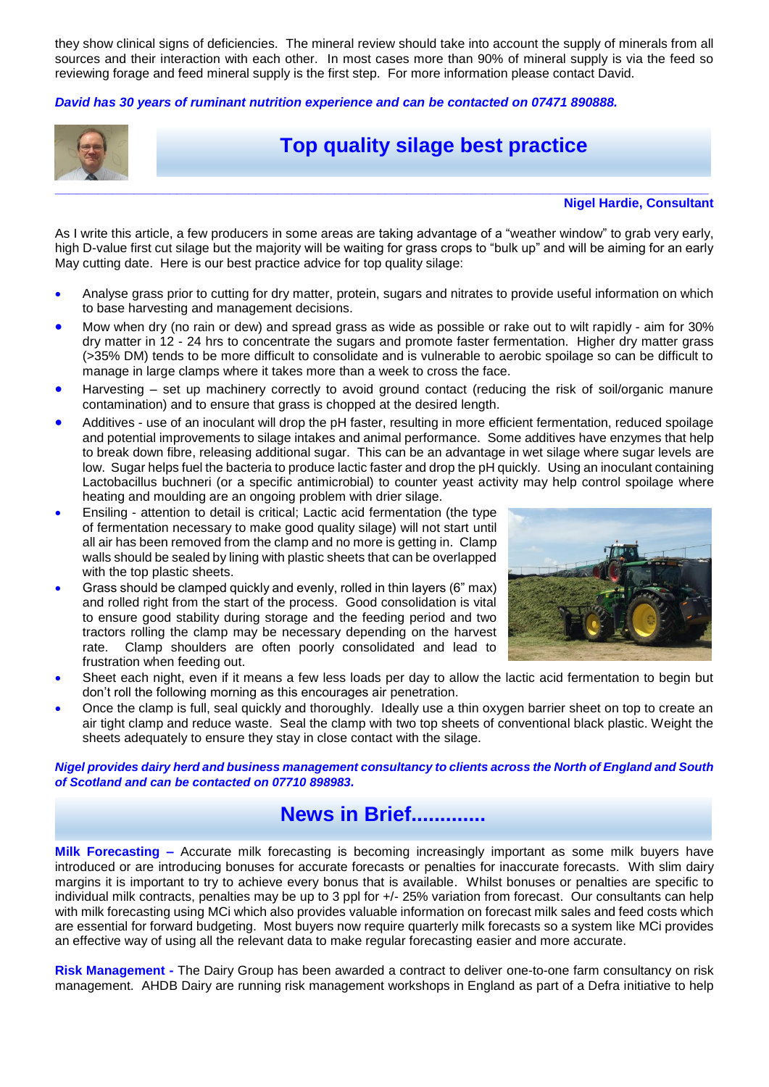they show clinical signs of deficiencies. The mineral review should take into account the supply of minerals from all sources and their interaction with each other. In most cases more than 90% of mineral supply is via the feed so reviewing forage and feed mineral supply is the first step. For more information please contact David.

*David has 30 years of ruminant nutrition experience and can be contacted on 07471 890888.*



## **Top quality silage best practice**

**Nigel Hardie, Consultant**

As I write this article, a few producers in some areas are taking advantage of a "weather window" to grab very early, high D-value first cut silage but the majority will be waiting for grass crops to "bulk up" and will be aiming for an early May cutting date. Here is our best practice advice for top quality silage:

- Analyse grass prior to cutting for dry matter, protein, sugars and nitrates to provide useful information on which to base harvesting and management decisions.
- Mow when dry (no rain or dew) and spread grass as wide as possible or rake out to wilt rapidly aim for 30% dry matter in 12 - 24 hrs to concentrate the sugars and promote faster fermentation. Higher dry matter grass (>35% DM) tends to be more difficult to consolidate and is vulnerable to aerobic spoilage so can be difficult to manage in large clamps where it takes more than a week to cross the face.
- Harvesting set up machinery correctly to avoid ground contact (reducing the risk of soil/organic manure contamination) and to ensure that grass is chopped at the desired length.
- Additives use of an inoculant will drop the pH faster, resulting in more efficient fermentation, reduced spoilage and potential improvements to silage intakes and animal performance. Some additives have enzymes that help to break down fibre, releasing additional sugar. This can be an advantage in wet silage where sugar levels are low. Sugar helps fuel the bacteria to produce lactic faster and drop the pH quickly. Using an inoculant containing Lactobacillus buchneri (or a specific antimicrobial) to counter yeast activity may help control spoilage where heating and moulding are an ongoing problem with drier silage.
- Ensiling attention to detail is critical; Lactic acid fermentation (the type of fermentation necessary to make good quality silage) will not start until all air has been removed from the clamp and no more is getting in. Clamp walls should be sealed by lining with plastic sheets that can be overlapped with the top plastic sheets.
- Grass should be clamped quickly and evenly, rolled in thin layers (6" max) and rolled right from the start of the process. Good consolidation is vital to ensure good stability during storage and the feeding period and two tractors rolling the clamp may be necessary depending on the harvest rate. Clamp shoulders are often poorly consolidated and lead to frustration when feeding out.



- Sheet each night, even if it means a few less loads per day to allow the lactic acid fermentation to begin but don't roll the following morning as this encourages air penetration.
- Once the clamp is full, seal quickly and thoroughly. Ideally use a thin oxygen barrier sheet on top to create an air tight clamp and reduce waste. Seal the clamp with two top sheets of conventional black plastic. Weight the sheets adequately to ensure they stay in close contact with the silage.

*Nigel provides dairy herd and business management consultancy to clients across the North of England and South of Scotland and can be contacted on 07710 898983.*

# **News in Brief.............**

**Milk Forecasting –** Accurate milk forecasting is becoming increasingly important as some milk buyers have introduced or are introducing bonuses for accurate forecasts or penalties for inaccurate forecasts. With slim dairy margins it is important to try to achieve every bonus that is available. Whilst bonuses or penalties are specific to individual milk contracts, penalties may be up to 3 ppl for +/- 25% variation from forecast. Our consultants can help with milk forecasting using MCi which also provides valuable information on forecast milk sales and feed costs which are essential for forward budgeting. Most buyers now require quarterly milk forecasts so a system like MCi provides an effective way of using all the relevant data to make regular forecasting easier and more accurate.

**Risk Management -** The Dairy Group has been awarded a contract to deliver one-to-one farm consultancy on risk management. AHDB Dairy are running risk management workshops in England as part of a Defra initiative to help